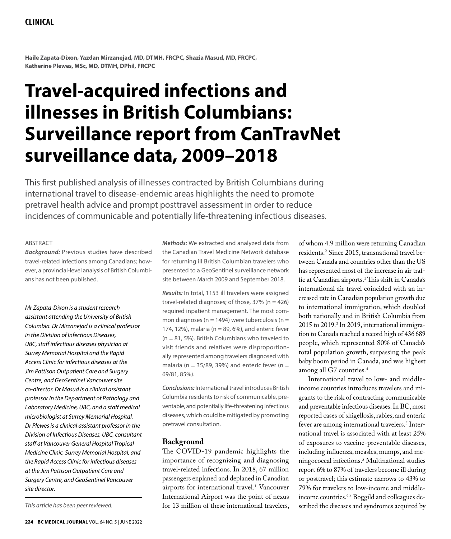## **Clinical**

**Haile Zapata-Dixon, Yazdan Mirzanejad, MD, DTMH, FRCPC, Shazia Masud, MD, FRCPC, Katherine Plewes, MSc, MD, DTMH, DPhil, FRCPC** 

# **Travel-acquired infections and illnesses in British Columbians: Surveillance report from CanTravNet surveillance data, 2009–2018**

This first published analysis of illnesses contracted by British Columbians during international travel to disease-endemic areas highlights the need to promote pretravel health advice and prompt posttravel assessment in order to reduce incidences of communicable and potentially life-threatening infectious diseases.

#### ABSTRACT

*Background:* Previous studies have described travel-related infections among Canadians; however, a provincial-level analysis of British Columbians has not been published.

*Mr Zapata-Dixon is a student research assistant attending the University of British Columbia. Dr Mirzanejad is a clinical professor in the Division of Infectious Diseases, UBC, staff infectious diseases physician at Surrey Memorial Hospital and the Rapid Access Clinic for infectious diseases at the Jim Pattison Outpatient Care and Surgery Centre, and GeoSentinel Vancouver site co-director. Dr Masud is a clinical assistant professor in the Department of Pathology and Laboratory Medicine, UBC, and a staff medical microbiologist at Surrey Memorial Hospital. Dr Plewes is a clinical assistant professor in the Division of Infectious Diseases, UBC, consultant staff at Vancouver General Hospital Tropical Medicine Clinic, Surrey Memorial Hospital, and the Rapid Access Clinic for infectious diseases at the Jim Pattison Outpatient Care and Surgery Centre, and GeoSentinel Vancouver site director.* 

*This article has been peer reviewed.*

*Methods:* We extracted and analyzed data from the Canadian Travel Medicine Network database for returning ill British Columbian travelers who presented to a GeoSentinel surveillance network site between March 2009 and September 2018.

*Results:* In total, 1153 ill travelers were assigned travel-related diagnoses; of those,  $37\%$  (n = 426) required inpatient management. The most common diagnoses ( $n = 1494$ ) were tuberculosis ( $n =$ 174, 12%), malaria ( $n = 89$ , 6%), and enteric fever  $(n = 81, 5\%)$ . British Columbians who traveled to visit friends and relatives were disproportionally represented among travelers diagnosed with malaria (n = 35/89, 39%) and enteric fever (n = 69/81, 85%).

*Conclusions:* International travel introduces British Columbia residents to risk of communicable, preventable, and potentially life-threatening infectious diseases, which could be mitigated by promoting pretravel consultation.

#### **Background**

The COVID-19 pandemic highlights the importance of recognizing and diagnosing travel-related infections. In 2018, 67 million passengers enplaned and deplaned in Canadian airports for international travel.<sup>1</sup> Vancouver International Airport was the point of nexus for 13 million of these international travelers, of whom 4.9 million were returning Canadian residents.2 Since 2015, transnational travel between Canada and countries other than the US has represented most of the increase in air traffic at Canadian airports.1 This shift in Canada's international air travel coincided with an increased rate in Canadian population growth due to international immigration, which doubled both nationally and in British Columbia from 2015 to 2019.<sup>3</sup> In 2019, international immigration to Canada reached a record high of 436 689 people, which represented 80% of Canada's total population growth, surpassing the peak baby boom period in Canada, and was highest among all G7 countries.4

International travel to low- and middleincome countries introduces travelers and migrants to the risk of contracting communicable and preventable infectious diseases. In BC, most reported cases of shigellosis, rabies, and enteric fever are among international travelers.<sup>5</sup> International travel is associated with at least 25% of exposures to vaccine-preventable diseases, including influenza, measles, mumps, and meningococcal infections.5 Multinational studies report 6% to 87% of travelers become ill during or posttravel; this estimate narrows to 43% to 79% for travelers to low-income and middleincome countries.6,7 Boggild and colleagues described the diseases and syndromes acquired by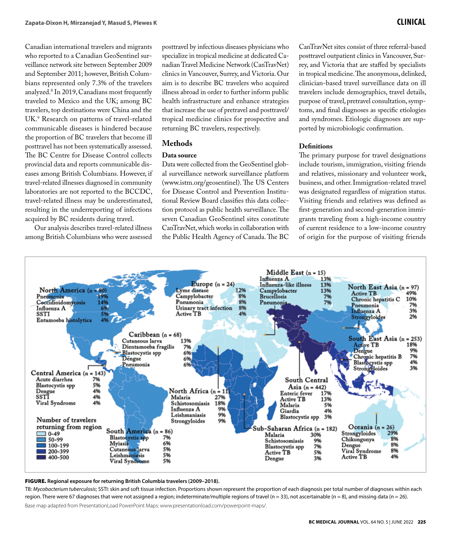Canadian international travelers and migrants who reported to a Canadian GeoSentinel surveillance network site between September 2009 and September 2011; however, British Columbians represented only 7.3% of the travelers analyzed.8 In 2019, Canadians most frequently traveled to Mexico and the UK; among BC travelers, top destinations were China and the UK.9 Research on patterns of travel-related communicable diseases is hindered because the proportion of BC travelers that become ill posttravel has not been systematically assessed. The BC Centre for Disease Control collects provincial data and reports communicable diseases among British Columbians. However, if travel-related illnesses diagnosed in community laboratories are not reported to the BCCDC, travel-related illness may be underestimated, resulting in the underreporting of infections acquired by BC residents during travel.

Our analysis describes travel-related illness among British Columbians who were assessed

posttravel by infectious diseases physicians who specialize in tropical medicine at dedicated Canadian Travel Medicine Network (CanTravNet) clinics in Vancouver, Surrey, and Victoria. Our aim is to describe BC travelers who acquired illness abroad in order to further inform public health infrastructure and enhance strategies that increase the use of pretravel and posttravel/ tropical medicine clinics for prospective and returning BC travelers, respectively.

### **Methods**

## **Data source**

Data were collected from the GeoSentinel global surveillance network surveillance platform (www.istm.org/geosentinel). The US Centers for Disease Control and Prevention Institutional Review Board classifies this data collection protocol as public health surveillance. The seven Canadian GeoSentinel sites constitute CanTravNet, which works in collaboration with the Public Health Agency of Canada. The BC

CanTravNet sites consist of three referral-based posttravel outpatient clinics in Vancouver, Surrey, and Victoria that are staffed by specialists in tropical medicine. The anonymous, delinked, clinician-based travel surveillance data on ill travelers include demographics, travel details, purpose of travel, pretravel consultation, symptoms, and final diagnoses as specific etiologies and syndromes. Etiologic diagnoses are supported by microbiologic confirmation.

#### **Definitions**

The primary purpose for travel designations include tourism, immigration, visiting friends and relatives, missionary and volunteer work, business, and other. Immigration-related travel was designated regardless of migration status. Visiting friends and relatives was defined as first-generation and second-generation immigrants traveling from a high-income country of current residence to a low-income country of origin for the purpose of visiting friends



#### FIGURE. **Regional exposure for returning British Columbia travelers (2009–2018).**

TB: *Mycobacterium tuberculosis*; SSTI: skin and soft tissue infection. Proportions shown represent the proportion of each diagnosis per total number of diagnoses within each region. There were 67 diagnoses that were not assigned a region; indeterminate/multiple regions of travel (n = 33), not ascertainable (n = 8), and missing data (n = 26). Base map adapted from PresentationLoad PowerPoint Maps: www.presentationload.com/powerpoint-maps/.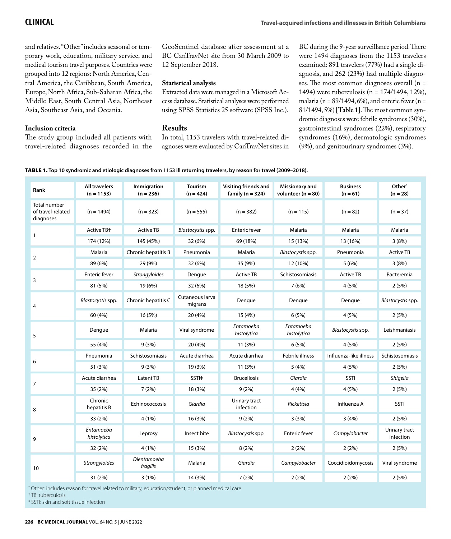and relatives. "Other" includes seasonal or temporary work, education, military service, and medical tourism travel purposes. Countries were grouped into 12 regions: North America, Central America, the Caribbean, South America, Europe, North Africa, Sub-Saharan Africa, the Middle East, South Central Asia, Northeast Asia, Southeast Asia, and Oceania.

#### **Inclusion criteria**

The study group included all patients with travel-related diagnoses recorded in the GeoSentinel database after assessment at a BC CanTravNet site from 30 March 2009 to 12 September 2018.

#### **Statistical analysis**

Extracted data were managed in a Microsoft Access database. Statistical analyses were performed using SPSS Statistics 25 software (SPSS Inc.).

#### **Results**

In total, 1153 travelers with travel-related diagnoses were evaluated by CanTravNet sites in BC during the 9-year surveillance period. There were 1494 diagnoses from the 1153 travelers examined: 891 travelers (77%) had a single diagnosis, and 262 (23%) had multiple diagnoses. The most common diagnoses overall (n = 1494) were tuberculosis (n = 174/1494, 12%), malaria (n =  $89/1494, 6\%)$ , and enteric fever (n = 81/1494, 5%) **[Table 1]**. The most common syndromic diagnoses were febrile syndromes (30%), gastrointestinal syndromes (22%), respiratory syndromes (16%), dermatologic syndromes (9%), and genitourinary syndromes (3%).

| TABLE 1. Top 10 syndromic and etiologic diagnoses from 1153 ill returning travelers, by reason for travel (2009-2018). |  |
|------------------------------------------------------------------------------------------------------------------------|--|
|------------------------------------------------------------------------------------------------------------------------|--|

| Rank                                           | <b>All travelers</b><br>$(n = 1153)$ | Immigration<br>$(n = 236)$ | <b>Tourism</b><br>$(n = 424)$ | Visiting friends and<br>family ( $n = 324$ ) | Missionary and<br>volunteer ( $n = 80$ ) | <b>Business</b><br>$(n = 61)$ | Other*<br>$(n = 28)$       |
|------------------------------------------------|--------------------------------------|----------------------------|-------------------------------|----------------------------------------------|------------------------------------------|-------------------------------|----------------------------|
| Total number<br>of travel-related<br>diagnoses | $(n = 1494)$                         | $(n = 323)$                | $(n = 555)$                   | $(n = 382)$                                  | $(n = 115)$                              | $(n = 82)$                    | $(n = 37)$                 |
| $\mathbf{1}$                                   | Active TB+                           | <b>Active TB</b>           | Blastocystis spp.             | <b>Enteric fever</b>                         | Malaria                                  | Malaria                       | Malaria                    |
|                                                | 174 (12%)                            | 145 (45%)                  | 32 (6%)                       | 69 (18%)                                     | 15 (13%)                                 | 13 (16%)                      | 3(8%)                      |
| $\overline{2}$                                 | Malaria                              | Chronic hepatitis B        | Pneumonia                     | Malaria                                      | Blastocystis spp.                        | Pneumonia                     | <b>Active TB</b>           |
|                                                | 89 (6%)                              | 29 (9%)                    | 32 (6%)                       | 35 (9%)                                      | 12 (10%)                                 | 5(6%)                         | 3(8%)                      |
| 3                                              | <b>Enteric fever</b>                 | Strongyloides              | Dengue                        | <b>Active TB</b>                             | Schistosomiasis                          | <b>Active TB</b>              | Bacteremia                 |
|                                                | 81 (5%)                              | 19 (6%)                    | 32 (6%)                       | 18 (5%)                                      | 7(6%)                                    | 4 (5%)                        | 2(5%)                      |
| $\overline{4}$                                 | Blastocystis spp.                    | Chronic hepatitis C        | Cutaneous larva<br>migrans    | Dengue                                       | Dengue                                   | Dengue                        | Blastocystis spp.          |
|                                                | 60 (4%)                              | 16 (5%)                    | 20 (4%)                       | 15 (4%)                                      | 6(5%)                                    | 4 (5%)                        | 2(5%)                      |
| 5                                              | Dengue                               | Malaria                    | Viral syndrome                | Entamoeba<br>histolytica                     | Entamoeba<br>histolytica                 | Blastocystis spp.             | Leishmaniasis              |
|                                                | 55 (4%)                              | 9(3%)                      | 20 (4%)                       | 11 (3%)                                      | 6(5%)                                    | 4 (5%)                        | 2(5%)                      |
| 6                                              | Pneumonia                            | Schistosomiasis            | Acute diarrhea                | Acute diarrhea                               | Febrile illness                          | Influenza-like illness        | Schistosomiasis            |
|                                                | 51 (3%)                              | 9(3%)                      | 19 (3%)                       | 11 (3%)                                      | 5(4%)                                    | 4(5%)                         | 2(5%)                      |
| $\overline{7}$                                 | Acute diarrhea                       | Latent TB                  | SSTI <sup>‡</sup>             | <b>Brucellosis</b>                           | Giardia                                  | <b>SSTI</b>                   | Shigella                   |
|                                                | 35 (2%)                              | 7(2%)                      | 18 (3%)                       | 9(2%)                                        | 4(4%)                                    | 4(5%)                         | 2(5%)                      |
| 8                                              | Chronic<br>hepatitis B               | Echinococcosis             | Giardia                       | Urinary tract<br>infection                   | Rickettsia                               | Influenza A                   | SSTI                       |
|                                                | 33 (2%)                              | 4(1%)                      | 16 (3%)                       | 9(2%)                                        | 3(3%)                                    | 3(4%)                         | 2(5%)                      |
| 9                                              | Entamoeba<br>histolytica             | Leprosy                    | Insect bite                   | Blastocystis spp.                            | <b>Enteric fever</b>                     | Campylobacter                 | Urinary tract<br>infection |
|                                                | 32 (2%)                              | 4(1%)                      | 15 (3%)                       | 8(2%)                                        | 2(2%)                                    | 2(2%)                         | 2(5%)                      |
| 10                                             | Strongyloides                        | Dientamoeba<br>fragilis    | Malaria                       | Giardia                                      | Campylobacter                            | Coccidioidomycosis            | Viral syndrome             |
|                                                | 31 (2%)                              | 3(1%)                      | 14 (3%)                       | 7 (2%)                                       | 2(2%)                                    | 2(2%)                         | 2(5%)                      |

\* Other: includes reason for travel related to military, education/student, or planned medical care

† TB: tuberculosis

‡ SSTI: skin and soft tissue infection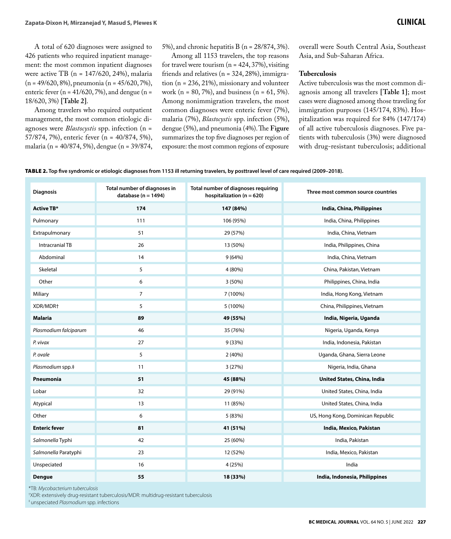A total of 620 diagnoses were assigned to 426 patients who required inpatient management: the most common inpatient diagnoses were active TB ( $n = 147/620$ , 24%), malaria (n = 49/620, 8%), pneumonia (n = 45/620, 7%), enteric fever ( $n = 41/620$ , 7%), and dengue ( $n =$ 18/620, 3%) **[Table 2]**.

Among travelers who required outpatient management, the most common etiologic diagnoses were *Blastocystis* spp. infection (n = 57/874, 7%), enteric fever (n = 40/874, 5%), malaria (n = 40/874, 5%), dengue (n = 39/874, 5%), and chronic hepatitis B (n = 28/874, 3%).

Among all 1153 travelers, the top reasons for travel were tourism  $(n = 424, 37%)$ , visiting friends and relatives ( $n = 324, 28\%)$ , immigration (n = 236, 21%), missionary and volunteer work (n = 80, 7%), and business (n =  $61,5\%$ ). Among nonimmigration travelers, the most common diagnoses were enteric fever (7%), malaria (7%), *Blastocystis* spp. infection (5%), dengue (5%), and pneumonia (4%). The Figure summarizes the top five diagnoses per region of exposure: the most common regions of exposure

overall were South Central Asia, Southeast Asia, and Sub-Saharan Africa.

#### **Tuberculosis**

Active tuberculosis was the most common diagnosis among all travelers **[Table 1]**; most cases were diagnosed among those traveling for immigration purposes (145/174, 83%). Hospitalization was required for 84% (147/174) of all active tuberculosis diagnoses. Five patients with tuberculosis (3%) were diagnosed with drug-resistant tuberculosis; additional

TABLE 2. **Top five syndromic or etiologic diagnoses from 1153 ill returning travelers, by posttravel level of care required (2009–2018).**

| <b>Diagnosis</b>      | Total number of diagnoses in<br>database ( $n = 1494$ ) | Total number of diagnoses requiring<br>hospitalization ( $n = 620$ ) | Three most common source countries |
|-----------------------|---------------------------------------------------------|----------------------------------------------------------------------|------------------------------------|
| <b>Active TB*</b>     | 174                                                     | 147 (84%)                                                            | India, China, Philippines          |
| Pulmonary             | 111                                                     | 106 (95%)                                                            | India, China, Philippines          |
| Extrapulmonary        | 51                                                      | 29 (57%)                                                             | India, China, Vietnam              |
| Intracranial TB       | 26                                                      | 13 (50%)                                                             | India, Philippines, China          |
| Abdominal             | 14                                                      | 9(64%)                                                               | India, China, Vietnam              |
| Skeletal              | 5                                                       | 4 (80%)                                                              | China, Pakistan, Vietnam           |
| Other                 | 6                                                       | 3(50%)                                                               | Philippines, China, India          |
| Miliary               | $\overline{7}$                                          | 7 (100%)                                                             | India, Hong Kong, Vietnam          |
| XDR/MDR+              | 5                                                       | 5 (100%)                                                             | China, Philippines, Vietnam        |
| <b>Malaria</b>        | 89                                                      | 49 (55%)                                                             | India, Nigeria, Uganda             |
| Plasmodium falciparum | 46                                                      | 35 (76%)                                                             | Nigeria, Uganda, Kenya             |
| P. vivax              | 27                                                      | 9(33%)                                                               | India, Indonesia, Pakistan         |
| P. ovale              | 5                                                       | 2 (40%)                                                              | Uganda, Ghana, Sierra Leone        |
| Plasmodium spp.‡      | 11                                                      | 3(27%)                                                               | Nigeria, India, Ghana              |
| Pneumonia             | 51                                                      | 45 (88%)                                                             | United States, China, India        |
| Lobar                 | 32                                                      | 29 (91%)                                                             | United States, China, India        |
| Atypical              | 13                                                      | 11 (85%)                                                             | United States, China, India        |
| Other                 | 6                                                       | 5 (83%)                                                              | US, Hong Kong, Dominican Republic  |
| <b>Enteric fever</b>  | 81                                                      | 41 (51%)                                                             | India, Mexico, Pakistan            |
| Salmonella Typhi      | 42                                                      | 25 (60%)                                                             | India, Pakistan                    |
| Salmonella Paratyphi  | 23                                                      | 12 (52%)                                                             | India, Mexico, Pakistan            |
| Unspeciated           | 16                                                      | 4 (25%)                                                              | India                              |
| <b>Dengue</b>         | 55                                                      | 18 (33%)                                                             | India, Indonesia, Philippines      |

\*TB: *Mycobacterium tuberculosis*

† XDR: extensively drug-resistant tuberculosis/MDR: multidrug-resistant tuberculosis ‡ unspeciated *Plasmodium* spp. infections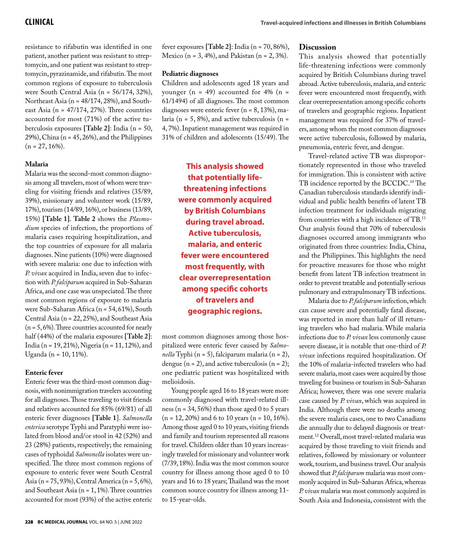resistance to rifabutin was identified in one patient, another patient was resistant to streptomycin, and one patient was resistant to streptomycin, pyrazinamide, and rifabutin. The most common regions of exposure to tuberculosis were South Central Asia (n = 56/174, 32%), Northeast Asia (n = 48/174, 28%), and Southeast Asia ( $n = 47/174$ , 27%). Three countries accounted for most (71%) of the active tuberculosis exposures **[Table 2]**: India (n = 50, 29%), China (n = 45, 26%), and the Philippines  $(n = 27, 16\%).$ 

#### **Malaria**

Malaria was the second-most common diagnosis among all travelers, most of whom were traveling for visiting friends and relatives (35/89, 39%), missionary and volunteer work (15/89, 17%), tourism (14/89, 16%), or business (13/89, 15%) **[Table 1]**. **Table 2** shows the *Plasmodium* species of infection, the proportions of malaria cases requiring hospitalization, and the top countries of exposure for all malaria diagnoses. Nine patients (10%) were diagnosed with severe malaria: one due to infection with *P. vivax* acquired in India, seven due to infection with *P. falciparum* acquired in Sub-Saharan Africa, and one case was unspeciated. The three most common regions of exposure to malaria were Sub-Saharan Africa (n = 54, 61%), South Central Asia (n = 22, 25%), and Southeast Asia  $(n = 5, 6\%)$ . Three countries accounted for nearly half (44%) of the malaria exposures **[Table 2]**: India (n = 19, 21%), Nigeria (n = 11, 12%), and Uganda (n = 10, 11%).

#### **Enteric fever**

Enteric fever was the third-most common diagnosis, with nonimmigration travelers accounting for all diagnoses. Those traveling to visit friends and relatives accounted for 85% (69/81) of all enteric fever diagnoses **[Table 1**]. *Salmonella enterica* serotype Typhi and Paratyphi were isolated from blood and/or stool in 42 (52%) and 23 (28%) patients, respectively; the remaining cases of typhoidal *Salmonella* isolates were unspecified. The three most common regions of exposure to enteric fever were South Central Asia (n = 75, 93%), Central America (n = 5, 6%), and Southeast Asia (n = 1, 1%). Three countries accounted for most (93%) of the active enteric

#### **Pediatric diagnoses**

Children and adolescents aged 18 years and younger ( $n = 49$ ) accounted for 4% ( $n =$ 61/1494) of all diagnoses. The most common diagnoses were enteric fever (n = 8, 13%), malaria ( $n = 5$ , 8%), and active tuberculosis ( $n =$ 4, 7%). Inpatient management was required in 31% of children and adolescents (15/49). The

> **This analysis showed that potentially lifethreatening infections were commonly acquired by British Columbians during travel abroad. Active tuberculosis, malaria, and enteric fever were encountered most frequently, with clear overrepresentation among specific cohorts of travelers and geographic regions.**

most common diagnoses among those hospitalized were enteric fever caused by *Salmonella* Typhi (n = 5), falciparum malaria (n = 2), dengue  $(n = 2)$ , and active tuberculosis  $(n = 2)$ ; one pediatric patient was hospitalized with melioidosis.

Young people aged 16 to 18 years were more commonly diagnosed with travel-related illness ( $n = 34, 56\%$ ) than those aged 0 to 5 years  $(n = 12, 20\%)$  and 6 to 10 years  $(n = 10, 16\%).$ Among those aged 0 to 10 years, visiting friends and family and tourism represented all reasons for travel. Children older than 10 years increasingly traveled for missionary and volunteer work (7/39, 18%). India was the most common source country for illness among those aged 0 to 10 years and 16 to 18 years; Thailand was the most common source country for illness among 11 to 15-year-olds.

#### **Discussion**

This analysis showed that potentially life-threatening infections were commonly acquired by British Columbians during travel abroad. Active tuberculosis, malaria, and enteric fever were encountered most frequently, with clear overrepresentation among specific cohorts of travelers and geographic regions. Inpatient management was required for 37% of travelers, among whom the most common diagnoses were active tuberculosis, followed by malaria, pneumonia, enteric fever, and dengue.

Travel-related active TB was disproportionately represented in those who traveled for immigration. This is consistent with active TB incidence reported by the BCCDC.<sup>10</sup> The Canadian tuberculosis standards identify individual and public health benefits of latent TB infection treatment for individuals migrating from countries with a high incidence of TB.11 Our analysis found that 70% of tuberculosis diagnoses occurred among immigrants who originated from three countries: India, China, and the Philippines. This highlights the need for proactive measures for those who might benefit from latent TB infection treatment in order to prevent treatable and potentially serious pulmonary and extrapulmonary TB infections.

Malaria due to *P. falciparum* infection, which can cause severe and potentially fatal disease, was reported in more than half of ill returning travelers who had malaria. While malaria infections due to *P. vivax* less commonly cause severe disease, it is notable that one-third of *P. vivax* infections required hospitalization. Of the 10% of malaria-infected travelers who had severe malaria, most cases were acquired by those traveling for business or tourism in Sub-Saharan Africa; however, there was one severe malaria case caused by *P. vivax*, which was acquired in India. Although there were no deaths among the severe malaria cases, one to two Canadians die annually due to delayed diagnosis or treatment.12 Overall, most travel-related malaria was acquired by those traveling to visit friends and relatives, followed by missionary or volunteer work, tourism, and business travel. Our analysis showed that *P. falciparum* malaria was most commonly acquired in Sub-Saharan Africa, whereas *P. vivax* malaria was most commonly acquired in South Asia and Indonesia, consistent with the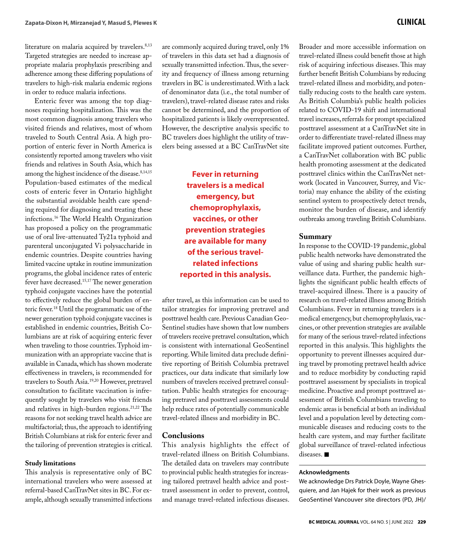literature on malaria acquired by travelers.<sup>8,13</sup> Targeted strategies are needed to increase appropriate malaria prophylaxis prescribing and adherence among these differing populations of travelers to high-risk malaria endemic regions in order to reduce malaria infections.

Enteric fever was among the top diagnoses requiring hospitalization. This was the most common diagnosis among travelers who visited friends and relatives, most of whom traveled to South Central Asia. A high proportion of enteric fever in North America is consistently reported among travelers who visit friends and relatives in South Asia, which has among the highest incidence of the disease.<sup>8,14,15</sup> Population-based estimates of the medical costs of enteric fever in Ontario highlight the substantial avoidable health care spending required for diagnosing and treating these infections.16 The World Health Organization has proposed a policy on the programmatic use of oral live-attenuated Ty21a typhoid and parenteral unconjugated Vi polysaccharide in endemic countries. Despite countries having limited vaccine uptake in routine immunization programs, the global incidence rates of enteric fever have decreased.15,17 The newer generation typhoid conjugate vaccines have the potential to effectively reduce the global burden of enteric fever.18 Until the programmatic use of the newer generation typhoid conjugate vaccines is established in endemic countries, British Columbians are at risk of acquiring enteric fever when traveling to those countries. Typhoid immunization with an appropriate vaccine that is available in Canada, which has shown moderate effectiveness in travelers, is recommended for travelers to South Asia.19,20 However, pretravel consultation to facilitate vaccination is infrequently sought by travelers who visit friends and relatives in high-burden regions.21,22 The reasons for not seeking travel health advice are multifactorial; thus, the approach to identifying British Columbians at risk for enteric fever and the tailoring of prevention strategies is critical.

#### **Study limitations**

This analysis is representative only of BC international travelers who were assessed at referral-based CanTravNet sites in BC. For example, although sexually transmitted infections

are commonly acquired during travel, only 1% of travelers in this data set had a diagnosis of sexually transmitted infection. Thus, the severity and frequency of illness among returning travelers in BC is underestimated. With a lack of denominator data (i.e., the total number of travelers), travel-related disease rates and risks cannot be determined, and the proportion of hospitalized patients is likely overrepresented. However, the descriptive analysis specific to BC travelers does highlight the utility of travelers being assessed at a BC CanTravNet site

> **Fever in returning travelers is a medical emergency, but chemoprophylaxis, vaccines, or other prevention strategies are available for many of the serious travelrelated infections reported in this analysis.**

after travel, as this information can be used to tailor strategies for improving pretravel and posttravel health care. Previous Canadian Geo-Sentinel studies have shown that low numbers of travelers receive pretravel consultation, which is consistent with international GeoSentinel reporting. While limited data preclude definitive reporting of British Columbia pretravel practices, our data indicate that similarly low numbers of travelers received pretravel consultation. Public health strategies for encouraging pretravel and posttravel assessments could help reduce rates of potentially communicable travel-related illness and morbidity in BC.

#### **Conclusions**

This analysis highlights the effect of travel-related illness on British Columbians. The detailed data on travelers may contribute to provincial public health strategies for increasing tailored pretravel health advice and posttravel assessment in order to prevent, control, and manage travel-related infectious diseases. Broader and more accessible information on travel-related illness could benefit those at high risk of acquiring infectious diseases. This may further benefit British Columbians by reducing travel-related illness and morbidity, and potentially reducing costs to the health care system. As British Columbia's public health policies related to COVID-19 shift and international travel increases, referrals for prompt specialized posttravel assessment at a CanTravNet site in order to differentiate travel-related illness may facilitate improved patient outcomes. Further, a CanTravNet collaboration with BC public health promoting assessment at the dedicated posttravel clinics within the CanTravNet network (located in Vancouver, Surrey, and Victoria) may enhance the ability of the existing sentinel system to prospectively detect trends, monitor the burden of disease, and identify outbreaks among traveling British Columbians.

#### **Summary**

In response to the COVID-19 pandemic, global public health networks have demonstrated the value of using and sharing public health surveillance data. Further, the pandemic highlights the significant public health effects of travel-acquired illness. There is a paucity of research on travel-related illness among British Columbians. Fever in returning travelers is a medical emergency, but chemoprophylaxis, vaccines, or other prevention strategies are available for many of the serious travel-related infections reported in this analysis. This highlights the opportunity to prevent illnesses acquired during travel by promoting pretravel health advice and to reduce morbidity by conducting rapid posttravel assessment by specialists in tropical medicine. Proactive and prompt posttravel assessment of British Columbians traveling to endemic areas is beneficial at both an individual level and a population level by detecting communicable diseases and reducing costs to the health care system, and may further facilitate global surveillance of travel-related infectious diseases.  $\blacksquare$ 

#### **Acknowledgments**

We acknowledge Drs Patrick Doyle, Wayne Ghesquiere, and Jan Hajek for their work as previous GeoSentinel Vancouver site directors (PD, JH)/